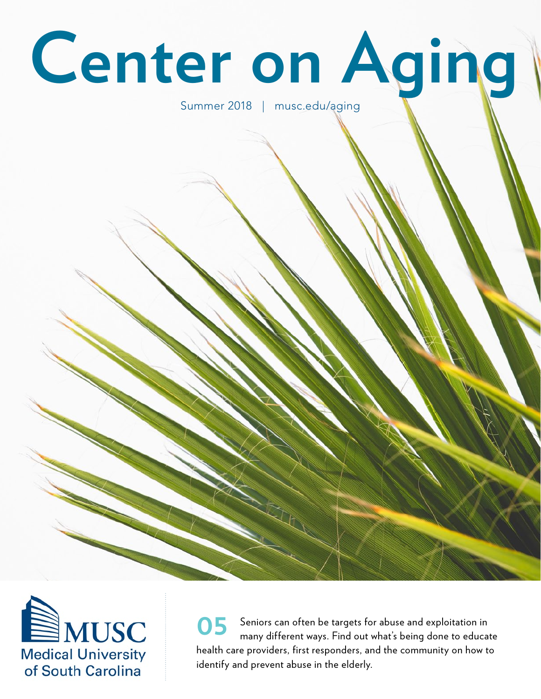# **Center on Aging**

#### Summer 2018 | musc.edu/aging



Seniors can often be targets for abuse and exploitation in many different ways. Find out what's being done to educate health care providers, first responders, and the community on how to identify and prevent abuse in the elderly. **05**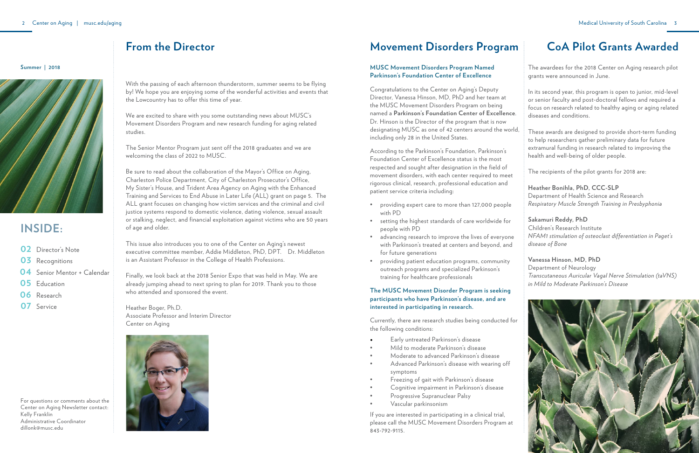# **INSIDE:**

- **02** Director's Note
- **03** Recognitions
- 04 Senior Mentor + Calendar
- **05** Education
- **06** Research
- 07 Service

## **Movement Disorders Program**

**Summer | 2018**



With the passing of each afternoon thunderstorm, summer seems to be flying by! We hope you are enjoying some of the wonderful activities and events that the Lowcountry has to offer this time of year.

We are excited to share with you some outstanding news about MUSC's Movement Disorders Program and new research funding for aging related studies.

The Senior Mentor Program just sent off the 2018 graduates and we are welcoming the class of 2022 to MUSC.

Be sure to read about the collaboration of the Mayor's Office on Aging, Charleston Police Department, City of Charleston Prosecutor's Office, My Sister's House, and Trident Area Agency on Aging with the Enhanced Training and Services to End Abuse in Later Life (ALL) grant on page 5. The ALL grant focuses on changing how victim services and the criminal and civil justice systems respond to domestic violence, dating violence, sexual assault or stalking, neglect, and financial exploitation against victims who are 50 years of age and older.

This issue also introduces you to one of the Center on Aging's newest executive committee member, Addie Middleton, PhD, DPT. Dr. Middleton is an Assistant Professor in the College of Health Professions.

Finally, we look back at the 2018 Senior Expo that was held in May. We are already jumping ahead to next spring to plan for 2019. Thank you to those who attended and sponsored the event.

Heather Boger, Ph.D. Associate Professor and Interim Director Center on Aging



#### **From the Director**

#### **MUSC Movement Disorders Program Named Parkinson's Foundation Center of Excellence**

Congratulations to the Center on Aging's Deputy Director, Vanessa Hinson, MD, PhD and her team at the MUSC Movement Disorders Program on being named a **Parkinson's Foundation Center of Excellence**. Dr. Hinson is the Director of the program that is now designating MUSC as one of 42 centers around the world, including only 28 in the United States.

According to the Parkinson's Foundation, Parkinson's Foundation Center of Excellence status is the most respected and sought after designation in the field of movement disorders, with each center required to meet rigorous clinical, research, professional education and patient service criteria including:

- • providing expert care to more than 127,000 people with PD
- • setting the highest standards of care worldwide for people with PD
- advancing research to improve the lives of everyone with Parkinson's treated at centers and beyond, and for future generations
- providing patient education programs, community outreach programs and specialized Parkinson's training for healthcare professionals

#### **The MUSC Movement Disorder Program is seeking participants who have Parkinson's disease, and are interested in participating in research.**

Currently, there are research studies being conducted for the following conditions:

- Early untreated Parkinson's disease
- Mild to moderate Parkinson's disease
- Moderate to advanced Parkinson's disease
- • Advanced Parkinson's disease with wearing off symptoms
- Freezing of gait with Parkinson's disease
- Cognitive impairment in Parkinson's disease
- Progressive Supranuclear Palsy
- Vascular parkinsonism

If you are interested in participating in a clinical trial, please call the MUSC Movement Disorders Program at 843-792-9115.

The awardees for the 2018 Center on Aging research pilot grants were announced in June.

In its second year, this program is open to junior, mid-level or senior faculty and post-doctoral fellows and required a focus on research related to healthy aging or aging related diseases and conditions.

These awards are designed to provide short-term funding to help researchers gather preliminary data for future extramural funding in research related to improving the health and well-being of older people.

The recipients of the pilot grants for 2018 are:

**Heather Bonihla, PhD, CCC-SLP** Department of Health Science and Research *Respiratory Muscle Strength Training in Presbyphonia*

**Sakamuri Reddy, PhD** Children's Research Institute *NFAM1 stimulation of osteoclast differentiation in Paget's disease of Bone*

**Vanessa Hinson, MD, PhD** Department of Neurology *Transcutaneous Auricular Vagal Nerve Stimulation (taVNS) in Mild to Moderate Parkinson's Disease*



# **CoA Pilot Grants Awarded**

For questions or comments about the Center on Aging Newsletter contact: Kelly Franklin Administrative Coordinator dillonk@musc.edu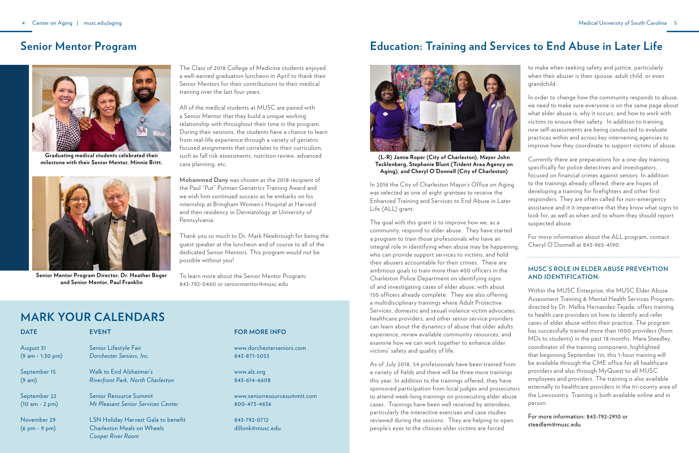#### **mark your calendars**

#### **Senior Mentor Program**

The Class of 2018 College of Medicine students enjoyed a well-earned graduation luncheon in April to thank their Senior Mentors for their contributions to their medical training over the last four years.

All of the medical students at MUSC are paired with a Senior Mentor that they build a unique working relationship with throughout their time in the program. During their sessions, the students have a chance to learn from real-life experience through a variety of geriatric focused assignments that correlates to their curriculum, such as fall risk assessments, nutrition review, advanced care planning, etc.

| <b>DATE</b>                                    | <b>EVENT</b>                                                                                         | <b>FOR</b>            |
|------------------------------------------------|------------------------------------------------------------------------------------------------------|-----------------------|
| August 31                                      | Senior Lifestyle Fair                                                                                | www.c                 |
| $(9 am - 1:30 pm)$                             | Dorchester Seniors, Inc.                                                                             | $843 - 8$             |
| September 15                                   | Walk to End Alzheimer's                                                                              | www.a                 |
| (9 am)                                         | <b>Riverfront Park, North Charleston</b>                                                             | $843 - 6$             |
| September 22                                   | <b>Senior Resource Summit</b>                                                                        | www.s                 |
| $(10 am - 2 pm)$                               | Mt Pleasant Senior Services Center                                                                   | $800 - 4$             |
| November 29<br>$(6 \text{ pm} - 9 \text{ pm})$ | <b>LSN Holiday Harvest Gala to benefit</b><br><b>Charleston Meals on Wheels</b><br>Cooper River Room | $843 - 79$<br>dillonl |

#### **MORE INFO**

**Mohammed Dany** was chosen as the 2018 recipient of the Paul "Put" Putman Geriatrics Training Award and we wish him continued success as he embarks on his internship at Bringham Women's Hospital at Harvard and then residency in Dermatology at University of Pennsylvania.

Thank you so much to Dr. Mark Newbrough for being the guest speaker at the luncheon and of course to all of the dedicated Senior Mentors. This program would not be possible without you!

To learn more about the Senior Mentor Program: 843-792-0460 or seniormentor@musc.edu

> www.dorchesterseniors.com 843-871-5053

alz.org 14-6608

eniorresourcesummit.com  $-73 - 4636$ 

843-792-0712 dillonk@musc.edu

#### **Education: Training and Services to End Abuse in Later Life**

In 2016 the City of Charleston Mayor's Office on Aging was selected as one of eight grantees to receive the Enhanced Training and Services to End Abuse in Later Life (ALL) grant.

cases. Trainings have been well received by attendees, particularly the interactive exercises and case studies reviewed during the sessions. They are helping to open people's eyes to the choices older victims are forced

to make when seeking safety and justice, particularly when their abuser is their spouse, adult child, or even grandchild.

The goal with this grant is to improve how we, as a suspected abuse. community, respond to elder abuse. They have started For more information about the ALL program, contact a program to train those professionals who have an Cheryl O'Donnell at 843-965-4190. integral role in identifying when abuse may be happening, who can provide support services to victims, and hold their abusers accountable for their crimes. There are **MUSC'S ROLE IN ELDER ABUSE PREVENTION** ambitious goals to train more than 400 officers in the **AND IDENTIFICATION:** Charleston Police Department on identifying signs of and investigating cases of elder abuse, with about Within the MUSC Enterprise, the MUSC Elder Abuse 150 officers already complete. They are also offering Assessment Training & Mental Health Services Program, a multidisciplinary trainings where Adult Protective directed by Dr. Melba Hernandez-Tejada, offers training Services, domestic and sexual violence victim advocates, to health care providers on how to identify and refer healthcare providers, and other senior service providers cases of elder abuse within their practice. The program can learn about the dynamics of abuse that older adults has successfully trained more than 1000 providers (from experience, review available community resources, and MDs to students) in the past 18 months. Mara Steedley, examine how we can work together to enhance older coordinator of the training component, highlighted victims' safety and quality of life. that beginning September 1st, this 1-hour training will be available through the CME office for all healthcare As of July 2018, 54 professionals have been trained from providers and also through MyQuest to all MUSC a variety of fields and there will be three more trainings employees and providers. The training is also available this year. In addition to the trainings offered, they have externally to healthcare providers in the tri-county area of sponsored participation from local judges and prosecutors the Lowcountry. Training is both available online and in to attend week-long trainings on prosecuting elder abuse person.

In order to change how the community responds to abuse, we need to make sure everyone is on the same page about what elder abuse is, why it occurs, and how to work with victims to ensure their safety. In addition to training, now self-assessments are being conducted to evaluate practices within and across key intervening agencies to improve how they coordinate to support victims of abuse.

Currently there are preparations for a one-day training, specifically for police detectives and investigators, focused on financial crimes against seniors. In addition to the trainings already offered, there are hopes of developing a training for firefighters and other first responders. They are often called for non-emergency assistance and it it imperative that they know what signs to look for, as well as when and to whom they should report

For more information: 843-792-2910 or steedlem@musc.edu



**(L-R) Jamie Roper (City of Charleston), Mayor John Tecklenberg, Stephanie Blunt (Trident Area Agency on Aging), and Cheryl O'Donnell (City of Charleston)**



**Graduating medical students celebrated their milestone with their Senior Mentor, Minnie Britt.**



**Senior Mentor Program Director, Dr. Heather Boger and Senior Mentor, Paul Franklin**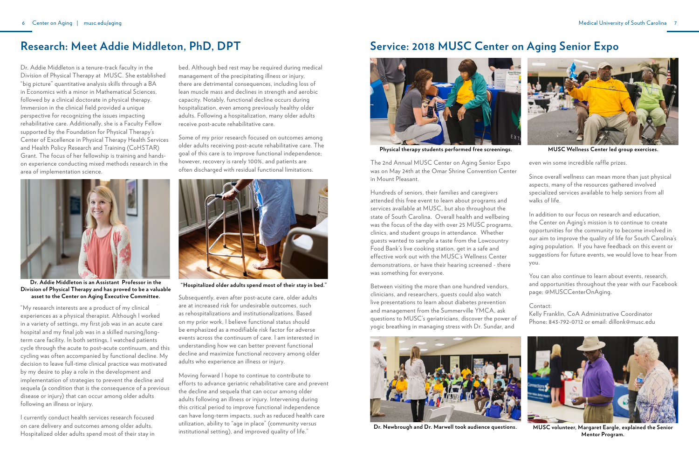### **Research: Meet Addie Middleton, PhD, DPT**

Dr. Addie Middleton is a tenure-track faculty in the Division of Physical Therapy at MUSC. She established "big picture" quantitative analysis skills through a BA in Economics with a minor in Mathematical Sciences, followed by a clinical doctorate in physical therapy. Immersion in the clinical field provided a unique perspective for recognizing the issues impacting rehabilitative care. Additionally, she is a Faculty Fellow supported by the Foundation for Physical Therapy's Center of Excellence in Physical Therapy Health Services and Health Policy Research and Training (CoHSTAR) Grant. The focus of her fellowship is training and handson experience conducting mixed methods research in the area of implementation science.

"My research interests are a product of my clinical experiences as a physical therapist. Although I worked in a variety of settings, my first job was in an acute care hospital and my final job was in a skilled nursing/longterm care facility. In both settings, I watched patients cycle through the acute to post-acute continuum, and this cycling was often accompanied by functional decline. My decision to leave full-time clinical practice was motivated by my desire to play a role in the development and implementation of strategies to prevent the decline and sequela (a condition that is the consequence of a previous disease or injury) that can occur among older adults following an illness or injury.

I currently conduct health services research focused on care delivery and outcomes among older adults. Hospitalized older adults spend most of their stay in

bed. Although bed rest may be required during medical management of the precipitating illness or injury, there are detrimental consequences, including loss of lean muscle mass and declines in strength and aerobic capacity. Notably, functional decline occurs during hospitalization, even among previously healthy older adults. Following a hospitalization, many older adults receive post-acute rehabilitative care.

Some of my prior research focused on outcomes among older adults receiving post-acute rehabilitative care. The goal of this care is to improve functional independence; however, recovery is rarely 100%, and patients are often discharged with residual functional limitations.

Subsequently, even after post-acute care, older adults are at increased risk for undesirable outcomes, such as rehospitalizations and institutionalizations. Based on my prior work, I believe functional status should be emphasized as a modifiable risk factor for adverse events across the continuum of care. I am interested in understanding how we can better prevent functional decline and maximize functional recovery among older adults who experience an illness or injury.

Moving forward I hope to continue to contribute to efforts to advance geriatric rehabilitative care and prevent the decline and sequela that can occur among older adults following an illness or injury. Intervening during this critical period to improve functional independence can have long-term impacts, such as reduced health care utilization, ability to "age in place" (community versus institutional setting), and improved quality of life."

### **Service: 2018 MUSC Center on Aging Senior Expo**



**Dr. Addie Middleton is an Assistant Professor in the Division of Physical Therapy and has proved to be a valuable asset to the Center on Aging Executive Committee.**



**"Hospitalized older adults spend most of their stay in bed."**

The 2nd Annual MUSC Center on Aging Senior Expo was on May 24th at the Omar Shrine Convention Center in Mount Pleasant.

Hundreds of seniors, their families and caregivers attended this free event to learn about programs and services available at MUSC, but also throughout the state of South Carolina. Overall health and wellbeing was the focus of the day with over 25 MUSC programs, clinics, and student groups in attendance. Whether guests wanted to sample a taste from the Lowcountry Food Bank's live cooking station, get in a safe and effective work out with the MUSC's Wellness Center demonstrations, or have their hearing screened - there was something for everyone.

Between visiting the more than one hundred vendors, clinicians, and researchers, guests could also watch live presentations to learn about diabetes prevention and management from the Summerville YMCA, ask questions to MUSC's geriatricians, discover the power of yogic breathing in managing stress with Dr. Sundar, and



even win some incredible raffle prizes.

Since overall wellness can mean more than just physical aspects, many of the resources gathered involved specialized services available to help seniors from all walks of life.

In addition to our focus on research and education, the Center on Aging's mission is to continue to create opportunities for the community to become involved in our aim to improve the quality of life for South Carolina's aging population. If you have feedback on this event or suggestions for future events, we would love to hear from you.

You can also continue to learn about events, research, and opportunities throughout the year with our Facebook page: @MUSCCenterOnAging.

Contact:

Kelly Franklin, CoA Administrative Coordinator Phone: 843-792-0712 or email: dillonk@musc.edu

**Dr. Newbrough and Dr. Marwell took audience questions. MUSC volunteer, Margaret Eargle, explained the Senior Mentor Program.**



**Physical therapy students performed free screenings. MUSC Wellness Center led group exercises.**